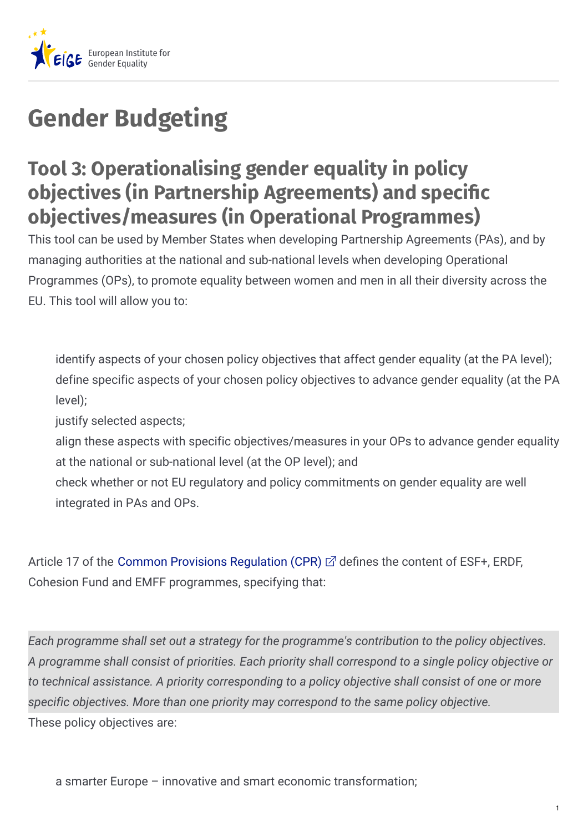

## **Gender Budgeting**

## **Tool 3: Operationalising gender equality in policy objectives (in Partnership Agreements) and specific objectives/measures (in Operational Programmes)**

This tool can be used by Member States when developing Partnership Agreements (PAs), and by managing authorities at the national and sub-national levels when developing Operational Programmes (OPs), to promote equality between women and men in all their diversity across the EU. This tool will allow you to:

identify aspects of your chosen policy objectives that affect gender equality (at the PA level); define specific aspects of your chosen policy objectives to advance gender equality (at the PA level);

justify selected aspects;

align these aspects with specific objectives/measures in your OPs to advance gender equality at the national or sub-national level (at the OP level); and

check whether or not EU regulatory and policy commitments on gender equality are well integrated in PAs and OPs.

Article 17 of the Common Provisions [Regulation](https://ec.europa.eu/info/law/better-regulation/initiatives/com-2018-375_en) (CPR)  $\vec{\alpha}$  defines the content of ESF+, ERDF, Cohesion Fund and EMFF programmes, specifying that:

These policy objectives are: *Each programme shall set out a strategy for the programme's contribution to the policy objectives. A programme shall consist of priorities. Each priority shall correspond to a single policy objective or to technical assistance. A priority corresponding to a policy objective shall consist of one or more specific objectives. More than one priority may correspond to the same policy objective.*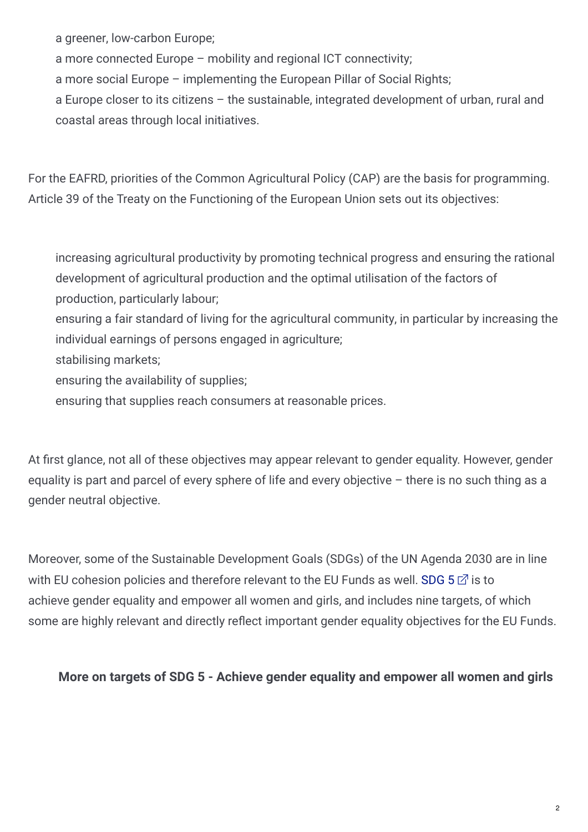a greener, low-carbon Europe;

a more connected Europe – mobility and regional ICT connectivity;

a more social Europe – implementing the European Pillar of Social Rights;

a Europe closer to its citizens – the sustainable, integrated development of urban, rural and coastal areas through local initiatives.

For the EAFRD, priorities of the Common Agricultural Policy (CAP) are the basis for programming. Article 39 of the Treaty on the Functioning of the European Union sets out its objectives:

increasing agricultural productivity by promoting technical progress and ensuring the rational development of agricultural production and the optimal utilisation of the factors of production, particularly labour;

ensuring a fair standard of living for the agricultural community, in particular by increasing the individual earnings of persons engaged in agriculture;

stabilising markets;

ensuring the availability of supplies;

ensuring that supplies reach consumers at reasonable prices.

At first glance, not all of these objectives may appear relevant to gender equality. However, gender equality is part and parcel of every sphere of life and every objective – there is no such thing as a gender neutral objective.

Moreover, some of the Sustainable Development Goals (SDGs) of the UN Agenda 2030 are in line with EU cohesion policies and therefore relevant to the EU Funds as well. [SDG](https://www.un.org/sustainabledevelopment/gender-equality/) 5  $\vec{r}$  is to achieve gender equality and empower all women and girls, and includes nine targets, of which some are highly relevant and directly reflect important gender equality objectives for the EU Funds.

## **More on targets of SDG 5 - Achieve gender equality and empower all women and girls**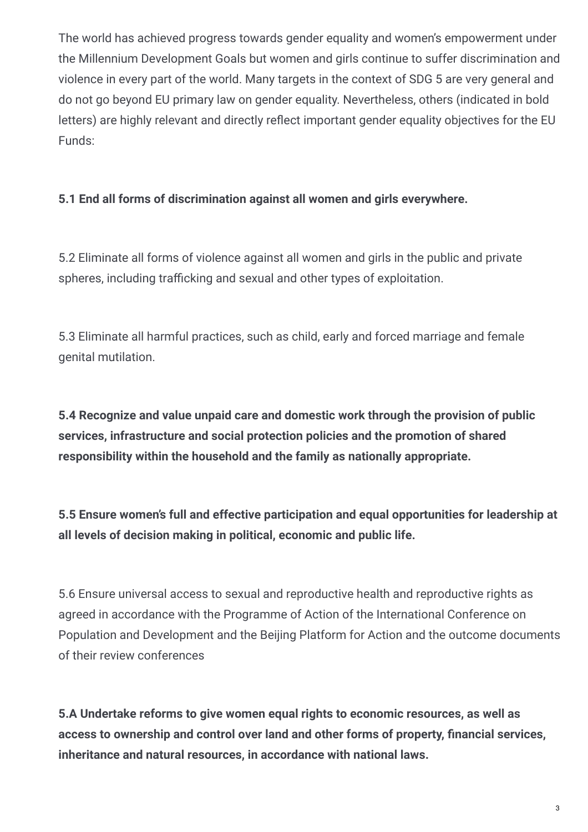The world has achieved progress towards gender equality and women's empowerment under the Millennium Development Goals but women and girls continue to suffer discrimination and violence in every part of the world. Many targets in the context of SDG 5 are very general and do not go beyond EU primary law on gender equality. Nevertheless, others (indicated in bold letters) are highly relevant and directly reflect important gender equality objectives for the EU Funds:

## **5.1 End all forms of discrimination against all women and girls everywhere.**

5.2 Eliminate all forms of violence against all women and girls in the public and private spheres, including trafficking and sexual and other types of exploitation.

5.3 Eliminate all harmful practices, such as child, early and forced marriage and female genital mutilation.

**5.4 Recognize and value unpaid care and domestic work through the provision of public services, infrastructure and social protection policies and the promotion of shared responsibility within the household and the family as nationally appropriate.**

**5.5 Ensure women's full and effective participation and equal opportunities for leadership at all levels of decision making in political, economic and public life.**

5.6 Ensure universal access to sexual and reproductive health and reproductive rights as agreed in accordance with the Programme of Action of the International Conference on Population and Development and the Beijing Platform for Action and the outcome documents of their review conferences

**5.A Undertake reforms to give women equal rights to economic resources, as well as access to ownership and control over land and other forms of property, )nancial services, inheritance and natural resources, in accordance with national laws.**